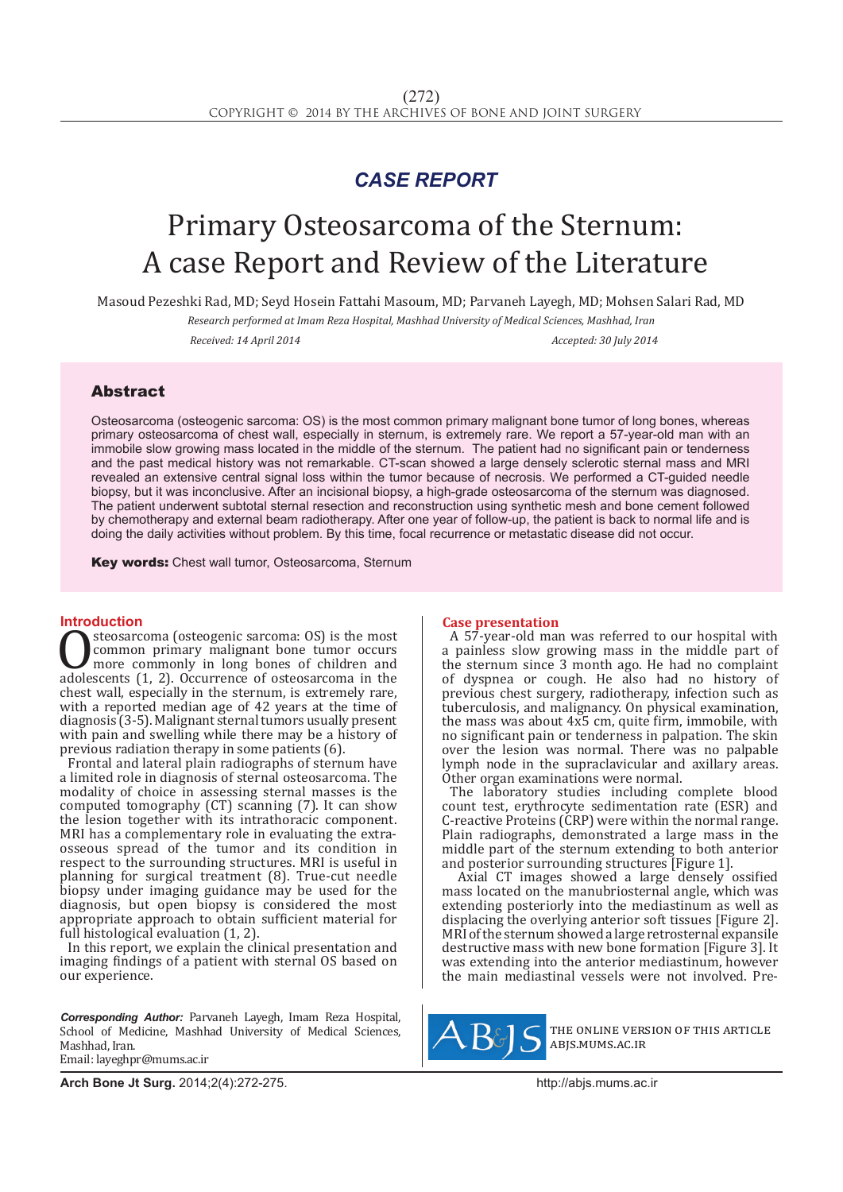## *CASE REPORT*

# Primary Osteosarcoma of the Sternum: A case Report and Review of the Literature

Masoud Pezeshki Rad, MD; Seyd Hosein Fattahi Masoum, MD; Parvaneh Layegh, MD; Mohsen Salari Rad, MD

*Research performed at Imam Reza Hospital, Mashhad University of Medical Sciences, Mashhad, Iran Received: 14 April 2014 Accepted: 30 July 2014*

### Abstract

Osteosarcoma (osteogenic sarcoma: OS) is the most common primary malignant bone tumor of long bones, whereas primary osteosarcoma of chest wall, especially in sternum, is extremely rare. We report a 57-year-old man with an immobile slow growing mass located in the middle of the sternum. The patient had no significant pain or tenderness and the past medical history was not remarkable. CT-scan showed a large densely sclerotic sternal mass and MRI revealed an extensive central signal loss within the tumor because of necrosis. We performed a CT-guided needle biopsy, but it was inconclusive. After an incisional biopsy, a high-grade osteosarcoma of the sternum was diagnosed. The patient underwent subtotal sternal resection and reconstruction using synthetic mesh and bone cement followed by chemotherapy and external beam radiotherapy. After one year of follow-up, the patient is back to normal life and is doing the daily activities without problem. By this time, focal recurrence or metastatic disease did not occur.

**Key words:** Chest wall tumor, Osteosarcoma, Sternum

**Introduction**<br>**C** steosarcoma (osteogenic sarcoma: OS) is the most **C**SECOSARCOMA (OSTEOGENIC SARCOMA: US) is the most<br>
more commonly in long bones of children and<br>
adolescents (1, 2). Occurrence of osteosarcoma in the<br>
chest wall expecially in the sternum is extremely rare common primary malignant bone tumor occurs more commonly in long bones of children and chest wall, especially in the sternum, is extremely rare, with a reported median age of 42 years at the time of diagnosis (3-5). Malignant sternal tumors usually present with pain and swelling while there may be a history of previous radiation therapy in some patients (6).

Frontal and lateral plain radiographs of sternum have a limited role in diagnosis of sternal osteosarcoma. The modality of choice in assessing sternal masses is the computed tomography (CT) scanning (7). It can show the lesion together with its intrathoracic component. MRI has a complementary role in evaluating the extraosseous spread of the tumor and its condition in respect to the surrounding structures. MRI is useful in planning for surgical treatment (8). True-cut needle biopsy under imaging guidance may be used for the diagnosis, but open biopsy is considered the most appropriate approach to obtain sufficient material for full histological evaluation (1, 2).

In this report, we explain the clinical presentation and imaging findings of a patient with sternal OS based on our experience.

*Corresponding Author:* Parvaneh Layegh, Imam Reza Hospital, School of Medicine, Mashhad University of Medical Sciences, Mashhad, Iran. Email: layeghpr@mums.ac.ir

#### **Case presentation**

A 57-year-old man was referred to our hospital with a painless slow growing mass in the middle part of the sternum since 3 month ago. He had no complaint of dyspnea or cough. He also had no history of previous chest surgery, radiotherapy, infection such as tuberculosis, and malignancy. On physical examination, the mass was about 4x5 cm, quite firm, immobile, with no significant pain or tenderness in palpation. The skin over the lesion was normal. There was no palpable lymph node in the supraclavicular and axillary areas. Other organ examinations were normal.

The laboratory studies including complete blood count test, erythrocyte sedimentation rate (ESR) and C-reactive Proteins (CRP) were within the normal range. Plain radiographs, demonstrated a large mass in the middle part of the sternum extending to both anterior and posterior surrounding structures [Figure 1].

 Axial CT images showed a large densely ossified mass located on the manubriosternal angle, which was extending posteriorly into the mediastinum as well as displacing the overlying anterior soft tissues [Figure 2]. MRI of the sternum showed a large retrosternal expansile destructive mass with new bone formation [Figure 3]. It was extending into the anterior mediastinum, however the main mediastinal vessels were not involved. Pre-



the online version of this article abjs.mums.ac.ir

**Arch Bone Jt Surg.** 2014;2(4):272-275.http://abjs.mums.ac.ir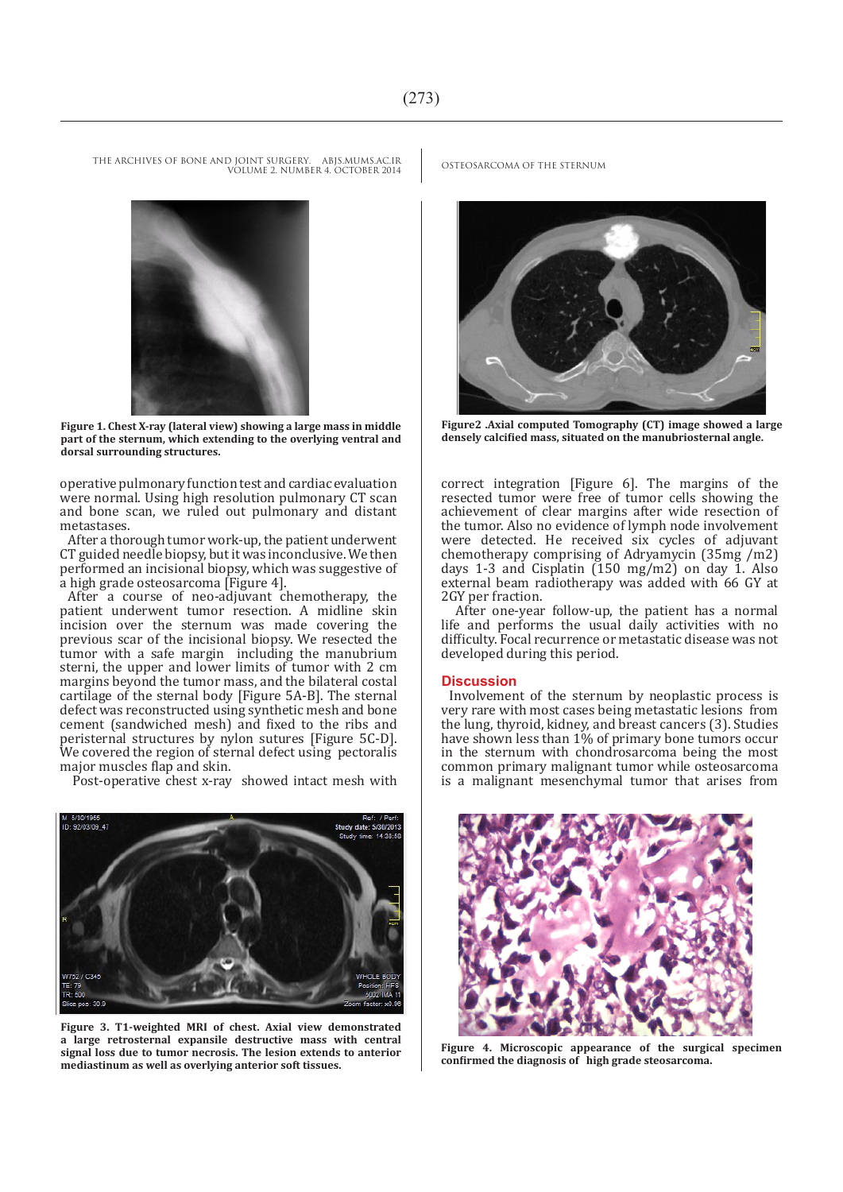THE ARCHIVES OF BONE AND JOINT SURGERY. ABJS.MUMS.AC.IR OSTEOSARCOMA OF THE STERNUM VOLUME 2. NUMBER 4. OCTOBER 2014



**Figure 1. Chest X-ray (lateral view) showing a large mass in middle part of the sternum, which extending to the overlying ventral and dorsal surrounding structures.**

operative pulmonary function test and cardiac evaluation were normal. Using high resolution pulmonary CT scan and bone scan, we ruled out pulmonary and distant metastases.

After a thorough tumor work-up, the patient underwent CT guided needle biopsy, but it was inconclusive. We then performed an incisional biopsy, which was suggestive of a high grade osteosarcoma [Figure 4].

After a course of neo-adjuvant chemotherapy, the patient underwent tumor resection. A midline skin incision over the sternum was made covering the previous scar of the incisional biopsy. We resected the tumor with a safe margin including the manubrium sterni, the upper and lower limits of tumor with 2 cm margins beyond the tumor mass, and the bilateral costal cartilage of the sternal body [Figure 5A-B]. The sternal defect was reconstructed using synthetic mesh and bone cement (sandwiched mesh) and fixed to the ribs and peristernal structures by nylon sutures [Figure 5C-D]. We covered the region of sternal defect using pectoralis major muscles flap and skin.

Post-operative chest x-ray showed intact mesh with



**Figure 3. T1-weighted MRI of chest. Axial view demonstrated a large retrosternal expansile destructive mass with central signal loss due to tumor necrosis. The lesion extends to anterior mediastinum as well as overlying anterior soft tissues.**



**Figure2 .Axial computed Tomography (CT) image showed a large densely calcified mass, situated on the manubriosternal angle.**

correct integration [Figure 6]. The margins of the resected tumor were free of tumor cells showing the achievement of clear margins after wide resection of the tumor. Also no evidence of lymph node involvement were detected. He received six cycles of adjuvant chemotherapy comprising of Adryamycin (35mg /m2) days 1-3 and Cisplatin (150 mg/m2) on day 1. Also external beam radiotherapy was added with 66 GY at 2GY per fraction.

 After one-year follow-up, the patient has a normal life and performs the usual daily activities with no difficulty. Focal recurrence or metastatic disease was not developed during this period.

#### **Discussion**

Involvement of the sternum by neoplastic process is very rare with most cases being metastatic lesions from the lung, thyroid, kidney, and breast cancers (3). Studies have shown less than 1% of primary bone tumors occur in the sternum with chondrosarcoma being the most common primary malignant tumor while osteosarcoma is a malignant mesenchymal tumor that arises from



**Figure 4. Microscopic appearance of the surgical specimen confirmed the diagnosis of high grade steosarcoma.**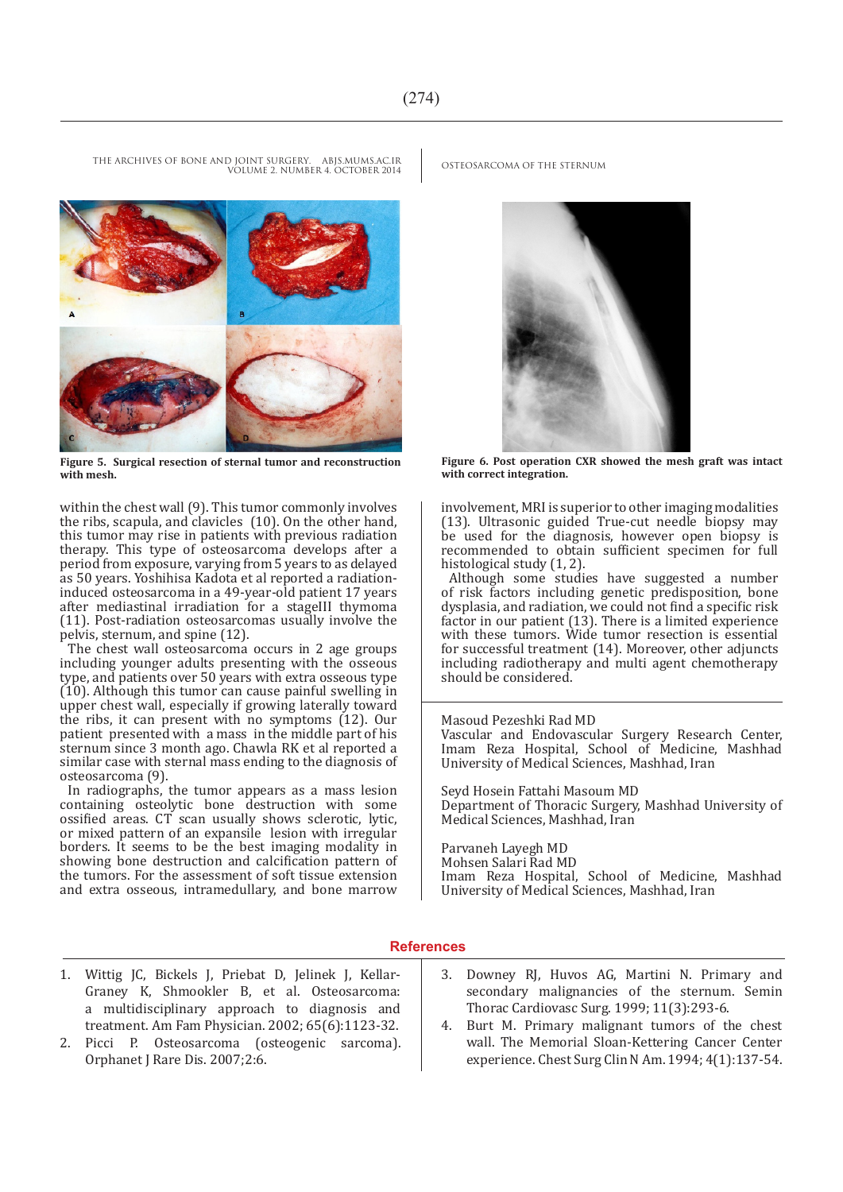THE ARCHIVES OF BONE AND JOINT SURGERY. ABJS.MUMS.AC.IR OSTEOSARCOMA OF THE STERNUM VOLUME 2. NUMBER 4. OCTOBER 2014



**Figure 5. Surgical resection of sternal tumor and reconstruction with mesh.**

within the chest wall (9). This tumor commonly involves the ribs, scapula, and clavicles (10). On the other hand, this tumor may rise in patients with previous radiation therapy. This type of osteosarcoma develops after a period from exposure, varying from 5 years to as delayed as 50 years. Yoshihisa Kadota et al reported a radiationinduced osteosarcoma in a 49-year-old patient 17 years after mediastinal irradiation for a stageIII thymoma (11). Post-radiation osteosarcomas usually involve the pelvis, sternum, and spine (12).

The chest wall osteosarcoma occurs in 2 age groups including younger adults presenting with the osseous type, and patients over 50 years with extra osseous type (10). Although this tumor can cause painful swelling in upper chest wall, especially if growing laterally toward the ribs, it can present with no symptoms (12). Our patient presented with a mass in the middle part of his sternum since 3 month ago. Chawla RK et al reported a similar case with sternal mass ending to the diagnosis of osteosarcoma (9).

In radiographs, the tumor appears as a mass lesion containing osteolytic bone destruction with some ossified areas. CT scan usually shows sclerotic, lytic, or mixed pattern of an expansile lesion with irregular borders. It seems to be the best imaging modality in showing bone destruction and calcification pattern of the tumors. For the assessment of soft tissue extension and extra osseous, intramedullary, and bone marrow



**Figure 6. Post operation CXR showed the mesh graft was intact with correct integration.**

involvement, MRI is superior to other imaging modalities (13). Ultrasonic guided True-cut needle biopsy may be used for the diagnosis, however open biopsy is recommended to obtain sufficient specimen for full histological study (1, 2).

Although some studies have suggested a number of risk factors including genetic predisposition, bone dysplasia, and radiation, we could not find a specific risk factor in our patient (13). There is a limited experience with these tumors. Wide tumor resection is essential for successful treatment (14). Moreover, other adjuncts including radiotherapy and multi agent chemotherapy should be considered.

#### Masoud Pezeshki Rad MD

Vascular and Endovascular Surgery Research Center, Imam Reza Hospital, School of Medicine, Mashhad University of Medical Sciences, Mashhad, Iran

Seyd Hosein Fattahi Masoum MD Department of Thoracic Surgery, Mashhad University of Medical Sciences, Mashhad, Iran

Parvaneh Layegh MD Mohsen Salari Rad MD

Imam Reza Hospital, School of Medicine, Mashhad University of Medical Sciences, Mashhad, Iran

#### **References**

- 1. Wittig JC, Bickels J, Priebat D, Jelinek J, Kellar-Graney K, Shmookler B, et al. Osteosarcoma: a multidisciplinary approach to diagnosis and treatment. Am Fam Physician. 2002; 65(6):1123-32.
- 2. Picci P. Osteosarcoma (osteogenic sarcoma). Orphanet J Rare Dis. 2007;2:6.
- 3. Downey RJ, Huvos AG, Martini N. Primary and secondary malignancies of the sternum. Semin Thorac Cardiovasc Surg. 1999; 11(3):293-6.
- 4. Burt M. Primary malignant tumors of the chest wall. The Memorial Sloan-Kettering Cancer Center experience. Chest Surg Clin N Am. 1994; 4(1):137-54.